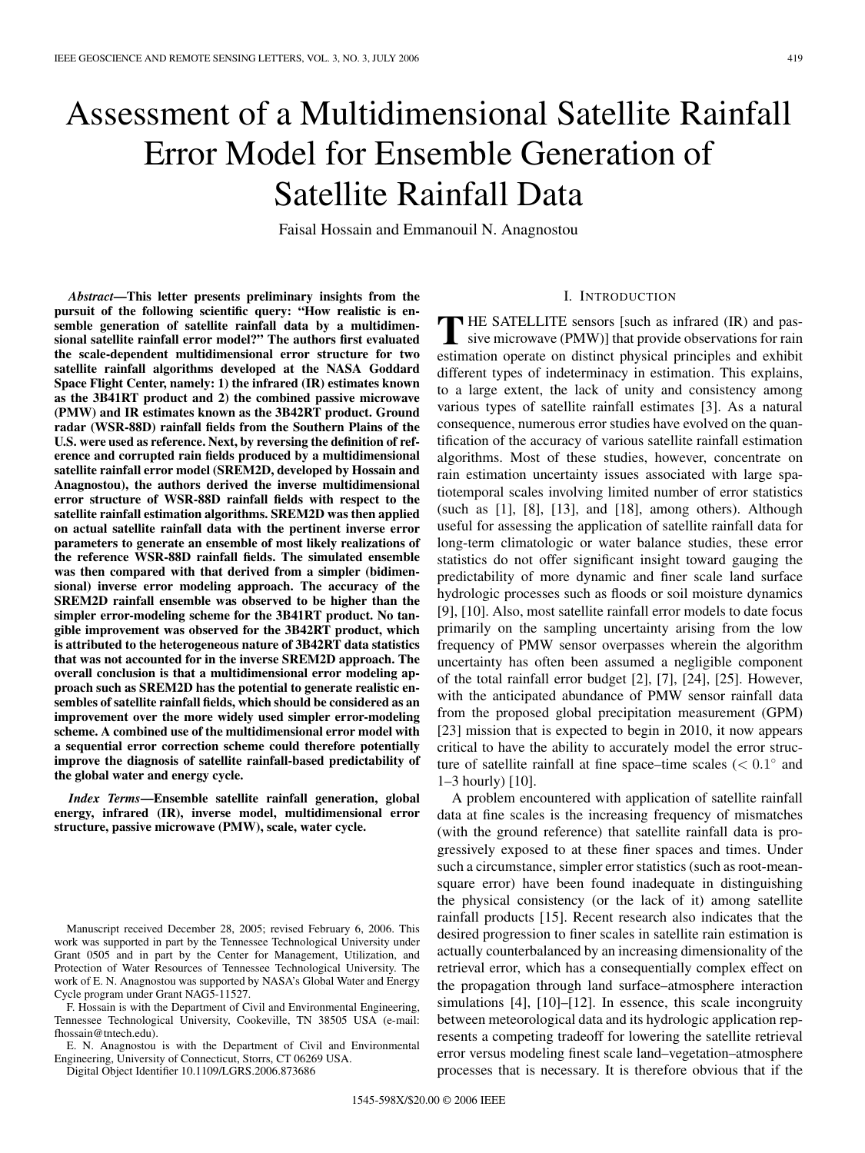# Assessment of a Multidimensional Satellite Rainfall Error Model for Ensemble Generation of Satellite Rainfall Data

Faisal Hossain and Emmanouil N. Anagnostou

*Abstract***—This letter presents preliminary insights from the pursuit of the following scientific query: "How realistic is ensemble generation of satellite rainfall data by a multidimensional satellite rainfall error model?" The authors first evaluated the scale-dependent multidimensional error structure for two satellite rainfall algorithms developed at the NASA Goddard Space Flight Center, namely: 1) the infrared (IR) estimates known as the 3B41RT product and 2) the combined passive microwave (PMW) and IR estimates known as the 3B42RT product. Ground radar (WSR-88D) rainfall fields from the Southern Plains of the U.S. were used as reference. Next, by reversing the definition of reference and corrupted rain fields produced by a multidimensional satellite rainfall error model (SREM2D, developed by Hossain and Anagnostou), the authors derived the inverse multidimensional error structure of WSR-88D rainfall fields with respect to the satellite rainfall estimation algorithms. SREM2D was then applied on actual satellite rainfall data with the pertinent inverse error parameters to generate an ensemble of most likely realizations of the reference WSR-88D rainfall fields. The simulated ensemble was then compared with that derived from a simpler (bidimensional) inverse error modeling approach. The accuracy of the SREM2D rainfall ensemble was observed to be higher than the simpler error-modeling scheme for the 3B41RT product. No tangible improvement was observed for the 3B42RT product, which is attributed to the heterogeneous nature of 3B42RT data statistics that was not accounted for in the inverse SREM2D approach. The overall conclusion is that a multidimensional error modeling approach such as SREM2D has the potential to generate realistic ensembles of satellite rainfall fields, which should be considered as an improvement over the more widely used simpler error-modeling scheme. A combined use of the multidimensional error model with a sequential error correction scheme could therefore potentially improve the diagnosis of satellite rainfall-based predictability of the global water and energy cycle.**

*Index Terms***—Ensemble satellite rainfall generation, global energy, infrared (IR), inverse model, multidimensional error structure, passive microwave (PMW), scale, water cycle.**

F. Hossain is with the Department of Civil and Environmental Engineering, Tennessee Technological University, Cookeville, TN 38505 USA (e-mail: fhossain@tntech.edu).

E. N. Anagnostou is with the Department of Civil and Environmental Engineering, University of Connecticut, Storrs, CT 06269 USA.

Digital Object Identifier 10.1109/LGRS.2006.873686

# I. INTRODUCTION

**T** HE SATELLITE sensors [such as infrared (IR) and pas-<br>sive microwave (PMW)] that provide observations for rain<br>eximation provide on distinct physical principles and onlining estimation operate on distinct physical principles and exhibit different types of indeterminacy in estimation. This explains, to a large extent, the lack of unity and consistency among various types of satellite rainfall estimates [3]. As a natural consequence, numerous error studies have evolved on the quantification of the accuracy of various satellite rainfall estimation algorithms. Most of these studies, however, concentrate on rain estimation uncertainty issues associated with large spatiotemporal scales involving limited number of error statistics (such as  $[1]$ ,  $[8]$ ,  $[13]$ , and  $[18]$ , among others). Although useful for assessing the application of satellite rainfall data for long-term climatologic or water balance studies, these error statistics do not offer significant insight toward gauging the predictability of more dynamic and finer scale land surface hydrologic processes such as floods or soil moisture dynamics [9], [10]. Also, most satellite rainfall error models to date focus primarily on the sampling uncertainty arising from the low frequency of PMW sensor overpasses wherein the algorithm uncertainty has often been assumed a negligible component of the total rainfall error budget [2], [7], [24], [25]. However, with the anticipated abundance of PMW sensor rainfall data from the proposed global precipitation measurement (GPM) [23] mission that is expected to begin in 2010, it now appears critical to have the ability to accurately model the error structure of satellite rainfall at fine space–time scales (*<* 0*.*1◦ and 1–3 hourly) [10].

A problem encountered with application of satellite rainfall data at fine scales is the increasing frequency of mismatches (with the ground reference) that satellite rainfall data is progressively exposed to at these finer spaces and times. Under such a circumstance, simpler error statistics (such as root-meansquare error) have been found inadequate in distinguishing the physical consistency (or the lack of it) among satellite rainfall products [15]. Recent research also indicates that the desired progression to finer scales in satellite rain estimation is actually counterbalanced by an increasing dimensionality of the retrieval error, which has a consequentially complex effect on the propagation through land surface–atmosphere interaction simulations [4], [10]–[12]. In essence, this scale incongruity between meteorological data and its hydrologic application represents a competing tradeoff for lowering the satellite retrieval error versus modeling finest scale land–vegetation–atmosphere processes that is necessary. It is therefore obvious that if the

Manuscript received December 28, 2005; revised February 6, 2006. This work was supported in part by the Tennessee Technological University under Grant 0505 and in part by the Center for Management, Utilization, and Protection of Water Resources of Tennessee Technological University. The work of E. N. Anagnostou was supported by NASA's Global Water and Energy Cycle program under Grant NAG5-11527.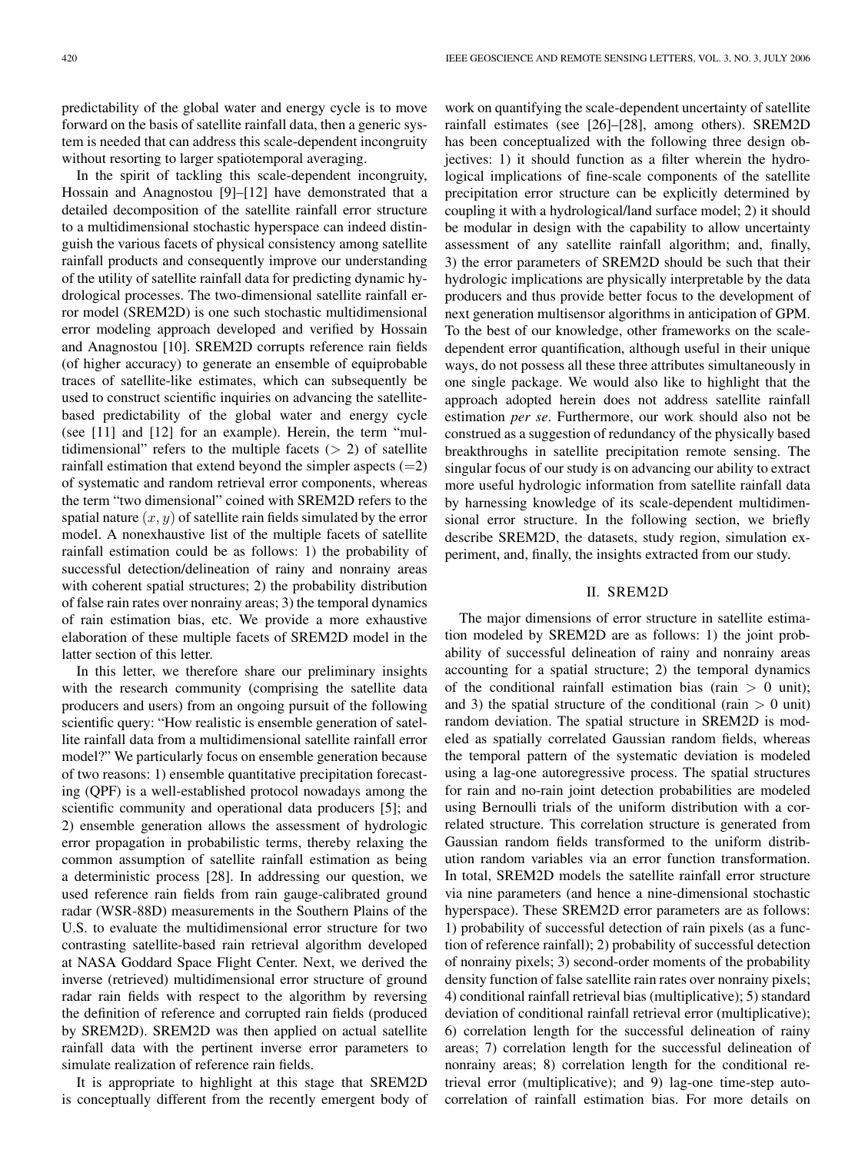predictability of the global water and energy cycle is to move forward on the basis of satellite rainfall data, then a generic system is needed that can address this scale-dependent incongruity without resorting to larger spatiotemporal averaging.

In the spirit of tackling this scale-dependent incongruity, Hossain and Anagnostou [9]–[12] have demonstrated that a detailed decomposition of the satellite rainfall error structure to a multidimensional stochastic hyperspace can indeed distinguish the various facets of physical consistency among satellite rainfall products and consequently improve our understanding of the utility of satellite rainfall data for predicting dynamic hydrological processes. The two-dimensional satellite rainfall error model (SREM2D) is one such stochastic multidimensional error modeling approach developed and verified by Hossain and Anagnostou [10]. SREM2D corrupts reference rain fields (of higher accuracy) to generate an ensemble of equiprobable traces of satellite-like estimates, which can subsequently be used to construct scientific inquiries on advancing the satellitebased predictability of the global water and energy cycle (see [11] and [12] for an example). Herein, the term "multidimensional" refers to the multiple facets (*>* 2) of satellite rainfall estimation that extend beyond the simpler aspects  $(=2)$ of systematic and random retrieval error components, whereas the term "two dimensional" coined with SREM2D refers to the spatial nature  $(x, y)$  of satellite rain fields simulated by the error model. A nonexhaustive list of the multiple facets of satellite rainfall estimation could be as follows: 1) the probability of successful detection/delineation of rainy and nonrainy areas with coherent spatial structures; 2) the probability distribution of false rain rates over nonrainy areas; 3) the temporal dynamics of rain estimation bias, etc. We provide a more exhaustive elaboration of these multiple facets of SREM2D model in the latter section of this letter.

In this letter, we therefore share our preliminary insights with the research community (comprising the satellite data producers and users) from an ongoing pursuit of the following scientific query: "How realistic is ensemble generation of satellite rainfall data from a multidimensional satellite rainfall error model?" We particularly focus on ensemble generation because of two reasons: 1) ensemble quantitative precipitation forecasting (QPF) is a well-established protocol nowadays among the scientific community and operational data producers [5]; and 2) ensemble generation allows the assessment of hydrologic error propagation in probabilistic terms, thereby relaxing the common assumption of satellite rainfall estimation as being a deterministic process [28]. In addressing our question, we used reference rain fields from rain gauge-calibrated ground radar (WSR-88D) measurements in the Southern Plains of the U.S. to evaluate the multidimensional error structure for two contrasting satellite-based rain retrieval algorithm developed at NASA Goddard Space Flight Center. Next, we derived the inverse (retrieved) multidimensional error structure of ground radar rain fields with respect to the algorithm by reversing the definition of reference and corrupted rain fields (produced by SREM2D). SREM2D was then applied on actual satellite rainfall data with the pertinent inverse error parameters to simulate realization of reference rain fields.

It is appropriate to highlight at this stage that SREM2D is conceptually different from the recently emergent body of work on quantifying the scale-dependent uncertainty of satellite rainfall estimates (see [26]–[28], among others). SREM2D has been conceptualized with the following three design objectives: 1) it should function as a filter wherein the hydrological implications of fine-scale components of the satellite precipitation error structure can be explicitly determined by coupling it with a hydrological/land surface model; 2) it should be modular in design with the capability to allow uncertainty assessment of any satellite rainfall algorithm; and, finally, 3) the error parameters of SREM2D should be such that their hydrologic implications are physically interpretable by the data producers and thus provide better focus to the development of next generation multisensor algorithms in anticipation of GPM. To the best of our knowledge, other frameworks on the scaledependent error quantification, although useful in their unique ways, do not possess all these three attributes simultaneously in one single package. We would also like to highlight that the approach adopted herein does not address satellite rainfall estimation *per se*. Furthermore, our work should also not be construed as a suggestion of redundancy of the physically based breakthroughs in satellite precipitation remote sensing. The singular focus of our study is on advancing our ability to extract more useful hydrologic information from satellite rainfall data by harnessing knowledge of its scale-dependent multidimensional error structure. In the following section, we briefly describe SREM2D, the datasets, study region, simulation experiment, and, finally, the insights extracted from our study.

## II. SREM2D

The major dimensions of error structure in satellite estimation modeled by SREM2D are as follows: 1) the joint probability of successful delineation of rainy and nonrainy areas accounting for a spatial structure; 2) the temporal dynamics of the conditional rainfall estimation bias (rain *>* 0 unit); and 3) the spatial structure of the conditional (rain  $> 0$  unit) random deviation. The spatial structure in SREM2D is modeled as spatially correlated Gaussian random fields, whereas the temporal pattern of the systematic deviation is modeled using a lag-one autoregressive process. The spatial structures for rain and no-rain joint detection probabilities are modeled using Bernoulli trials of the uniform distribution with a correlated structure. This correlation structure is generated from Gaussian random fields transformed to the uniform distribution random variables via an error function transformation. In total, SREM2D models the satellite rainfall error structure via nine parameters (and hence a nine-dimensional stochastic hyperspace). These SREM2D error parameters are as follows: 1) probability of successful detection of rain pixels (as a function of reference rainfall); 2) probability of successful detection of nonrainy pixels; 3) second-order moments of the probability density function of false satellite rain rates over nonrainy pixels; 4) conditional rainfall retrieval bias (multiplicative); 5) standard deviation of conditional rainfall retrieval error (multiplicative); 6) correlation length for the successful delineation of rainy areas; 7) correlation length for the successful delineation of nonrainy areas; 8) correlation length for the conditional retrieval error (multiplicative); and 9) lag-one time-step autocorrelation of rainfall estimation bias. For more details on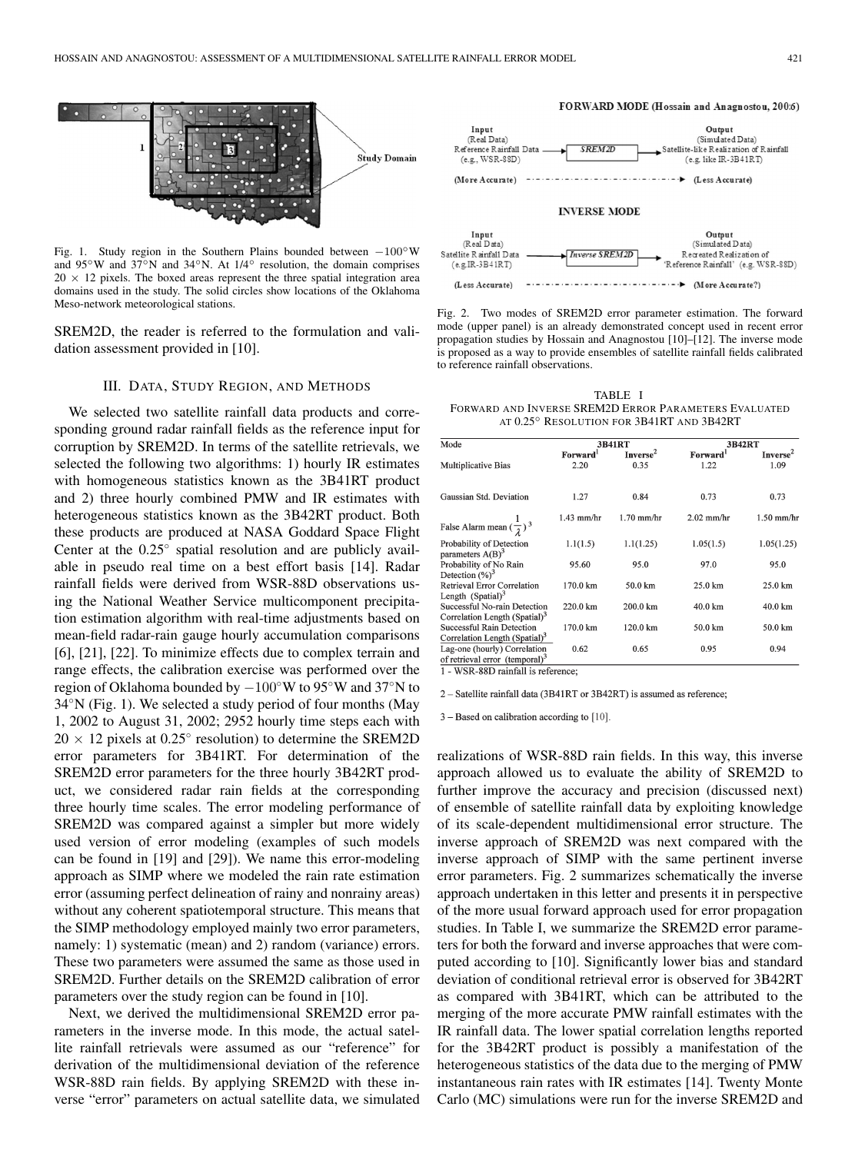

Fig. 1. Study region in the Southern Plains bounded between *−*100◦W and 95◦W and 37◦N and 34◦N. At 1/4◦ resolution, the domain comprises  $20 \times 12$  pixels. The boxed areas represent the three spatial integration area domains used in the study. The solid circles show locations of the Oklahoma Meso-network meteorological stations.

SREM2D, the reader is referred to the formulation and validation assessment provided in [10].

## III. DATA, STUDY REGION, AND METHODS

We selected two satellite rainfall data products and corresponding ground radar rainfall fields as the reference input for corruption by SREM2D. In terms of the satellite retrievals, we selected the following two algorithms: 1) hourly IR estimates with homogeneous statistics known as the 3B41RT product and 2) three hourly combined PMW and IR estimates with heterogeneous statistics known as the 3B42RT product. Both these products are produced at NASA Goddard Space Flight Center at the 0.25◦ spatial resolution and are publicly available in pseudo real time on a best effort basis [14]. Radar rainfall fields were derived from WSR-88D observations using the National Weather Service multicomponent precipitation estimation algorithm with real-time adjustments based on mean-field radar-rain gauge hourly accumulation comparisons [6], [21], [22]. To minimize effects due to complex terrain and range effects, the calibration exercise was performed over the region of Oklahoma bounded by −100◦W to 95◦W and 37◦N to 34◦N (Fig. 1). We selected a study period of four months (May 1, 2002 to August 31, 2002; 2952 hourly time steps each with  $20 \times 12$  pixels at 0.25 $\degree$  resolution) to determine the SREM2D error parameters for 3B41RT. For determination of the SREM2D error parameters for the three hourly 3B42RT product, we considered radar rain fields at the corresponding three hourly time scales. The error modeling performance of SREM2D was compared against a simpler but more widely used version of error modeling (examples of such models can be found in [19] and [29]). We name this error-modeling approach as SIMP where we modeled the rain rate estimation error (assuming perfect delineation of rainy and nonrainy areas) without any coherent spatiotemporal structure. This means that the SIMP methodology employed mainly two error parameters, namely: 1) systematic (mean) and 2) random (variance) errors. These two parameters were assumed the same as those used in SREM2D. Further details on the SREM2D calibration of error parameters over the study region can be found in [10].

Next, we derived the multidimensional SREM2D error parameters in the inverse mode. In this mode, the actual satellite rainfall retrievals were assumed as our "reference" for derivation of the multidimensional deviation of the reference WSR-88D rain fields. By applying SREM2D with these inverse "error" parameters on actual satellite data, we simulated

#### FORWARD MODE (Hossain and Anagnostou, 200:6)



## **INVERSE MODE**



Fig. 2. Two modes of SREM2D error parameter estimation. The forward mode (upper panel) is an already demonstrated concept used in recent error propagation studies by Hossain and Anagnostou [10]–[12]. The inverse mode is proposed as a way to provide ensembles of satellite rainfall fields calibrated to reference rainfall observations.

TABLE I FORWARD AND INVERSE SREM2D ERROR PARAMETERS EVALUATED AT 0.25◦ RESOLUTION FOR 3B41RT AND 3B42RT

| Mode                                                                       | <b>3B41RT</b>        |                      | 3B42RT       |                      |
|----------------------------------------------------------------------------|----------------------|----------------------|--------------|----------------------|
|                                                                            | Forward <sup>1</sup> | Inverse <sup>2</sup> | Forward      | Inverse <sup>2</sup> |
| Multiplicative Bias                                                        | 2.20                 | 0.35                 | 1.22         | 1.09                 |
| Gaussian Std. Deviation                                                    | 1.27                 | 0.84                 | 0.73         | 0.73                 |
| False Alarm mean $(\frac{1}{2})^3$                                         | $1.43$ mm/hr         | $1.70$ mm/hr         | $2.02$ mm/hr | $1.50$ mm/hr         |
| Probability of Detection<br>parameters $A(B)^3$                            | 1.1(1.5)             | 1.1(1.25)            | 1.05(1.5)    | 1.05(1.25)           |
| Probability of No Rain<br>Detection $(\%)^3$                               | 95.60                | 95.0                 | 97.0         | 95.0                 |
| Retrieval Error Correlation<br>Length $(Spatial)^3$                        | 170.0 km             | 50.0 km              | 25.0 km      | 25.0 km              |
| Successful No-rain Detection<br>Correlation Length (Spatial) <sup>3</sup>  | 220.0 km             | 200.0 km             | 40.0 km      | 40.0 km              |
| Successful Rain Detection<br>Correlation Length (Spatial) <sup>3</sup>     | 170.0 km             | 120.0 km             | 50.0 km      | 50.0 km              |
| Lag-one (hourly) Correlation<br>of retrieval error (temporal) <sup>3</sup> | 0.62                 | 0.65                 | 0.95         | 0.94                 |

2 - Satellite rainfall data (3B41RT or 3B42RT) is assumed as reference;

3 - Based on calibration according to [10].

realizations of WSR-88D rain fields. In this way, this inverse approach allowed us to evaluate the ability of SREM2D to further improve the accuracy and precision (discussed next) of ensemble of satellite rainfall data by exploiting knowledge of its scale-dependent multidimensional error structure. The inverse approach of SREM2D was next compared with the inverse approach of SIMP with the same pertinent inverse error parameters. Fig. 2 summarizes schematically the inverse approach undertaken in this letter and presents it in perspective of the more usual forward approach used for error propagation studies. In Table I, we summarize the SREM2D error parameters for both the forward and inverse approaches that were computed according to [10]. Significantly lower bias and standard deviation of conditional retrieval error is observed for 3B42RT as compared with 3B41RT, which can be attributed to the merging of the more accurate PMW rainfall estimates with the IR rainfall data. The lower spatial correlation lengths reported for the 3B42RT product is possibly a manifestation of the heterogeneous statistics of the data due to the merging of PMW instantaneous rain rates with IR estimates [14]. Twenty Monte Carlo (MC) simulations were run for the inverse SREM2D and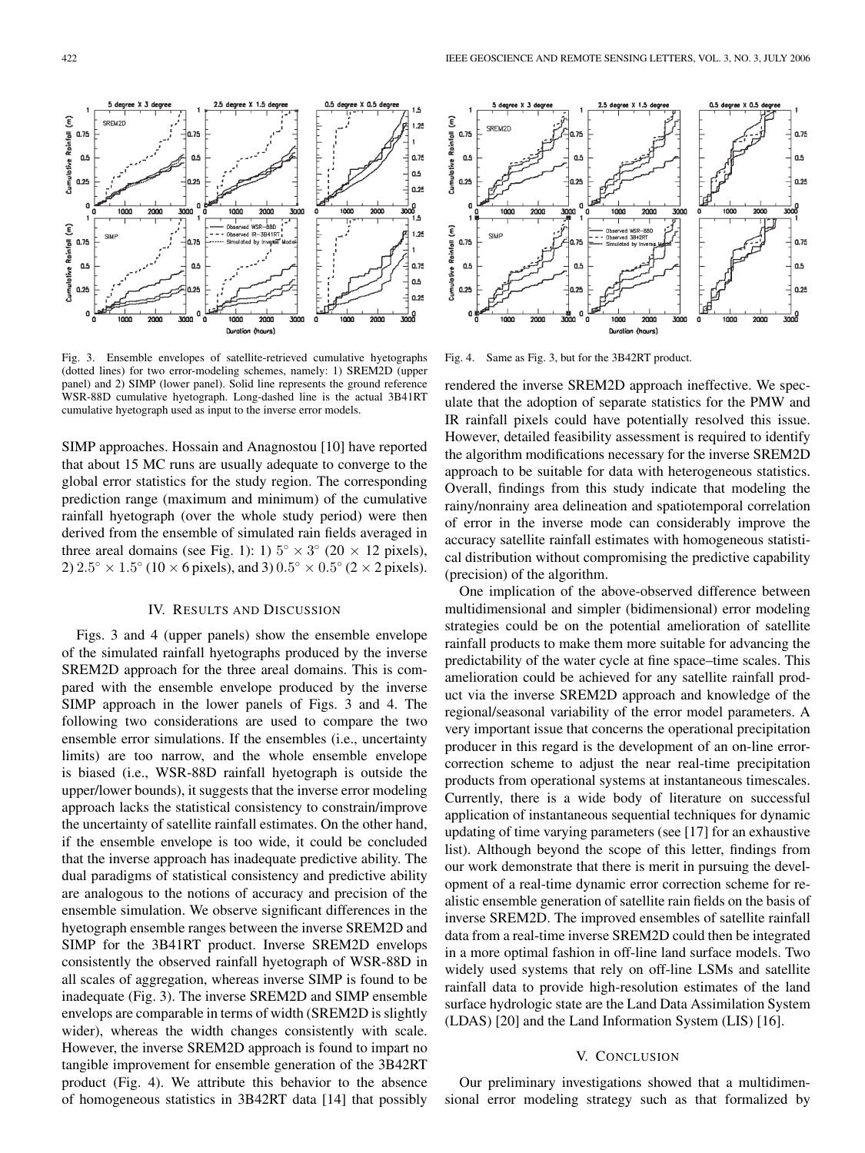Fig. 3. Ensemble envelopes of satellite-retrieved cumulative hyetographs (dotted lines) for two error-modeling schemes, namely: 1) SREM2D (upper panel) and 2) SIMP (lower panel). Solid line represents the ground reference WSR-88D cumulative hyetograph. Long-dashed line is the actual 3B41RT cumulative hyetograph used as input to the inverse error models.

1000

1001 Duration (hours)

2000

3000

, I<br>WSR-880

SIMP approaches. Hossain and Anagnostou [10] have reported that about 15 MC runs are usually adequate to converge to the global error statistics for the study region. The corresponding prediction range (maximum and minimum) of the cumulative rainfall hyetograph (over the whole study period) were then derived from the ensemble of simulated rain fields averaged in three areal domains (see Fig. 1): 1)  $5^\circ \times 3^\circ$  (20  $\times$  12 pixels), 2)  $2.5° \times 1.5°$  (10  $\times$  6 pixels), and 3)  $0.5° \times 0.5°$  (2  $\times$  2 pixels).

## IV. RESULTS AND DISCUSSION

Figs. 3 and 4 (upper panels) show the ensemble envelope of the simulated rainfall hyetographs produced by the inverse SREM2D approach for the three areal domains. This is compared with the ensemble envelope produced by the inverse SIMP approach in the lower panels of Figs. 3 and 4. The following two considerations are used to compare the two ensemble error simulations. If the ensembles (i.e., uncertainty limits) are too narrow, and the whole ensemble envelope is biased (i.e., WSR-88D rainfall hyetograph is outside the upper/lower bounds), it suggests that the inverse error modeling approach lacks the statistical consistency to constrain/improve the uncertainty of satellite rainfall estimates. On the other hand, if the ensemble envelope is too wide, it could be concluded that the inverse approach has inadequate predictive ability. The dual paradigms of statistical consistency and predictive ability are analogous to the notions of accuracy and precision of the ensemble simulation. We observe significant differences in the hyetograph ensemble ranges between the inverse SREM2D and SIMP for the 3B41RT product. Inverse SREM2D envelops consistently the observed rainfall hyetograph of WSR-88D in all scales of aggregation, whereas inverse SIMP is found to be inadequate (Fig. 3). The inverse SREM2D and SIMP ensemble envelops are comparable in terms of width (SREM2D is slightly wider), whereas the width changes consistently with scale. However, the inverse SREM2D approach is found to impart no tangible improvement for ensemble generation of the 3B42RT product (Fig. 4). We attribute this behavior to the absence of homogeneous statistics in 3B42RT data [14] that possibly



Fig. 4. Same as Fig. 3, but for the 3B42RT product.

 $1.25$ 

1.75

0.5

 $0.25$ 

 $1.25$ 

0.75

0.5

0.25

3000

3000<br>— 1.5

1000

2000

 $\frac{1}{2000}$ 

rendered the inverse SREM2D approach ineffective. We speculate that the adoption of separate statistics for the PMW and IR rainfall pixels could have potentially resolved this issue. However, detailed feasibility assessment is required to identify the algorithm modifications necessary for the inverse SREM2D approach to be suitable for data with heterogeneous statistics. Overall, findings from this study indicate that modeling the rainy/nonrainy area delineation and spatiotemporal correlation of error in the inverse mode can considerably improve the accuracy satellite rainfall estimates with homogeneous statistical distribution without compromising the predictive capability (precision) of the algorithm.

One implication of the above-observed difference between multidimensional and simpler (bidimensional) error modeling strategies could be on the potential amelioration of satellite rainfall products to make them more suitable for advancing the predictability of the water cycle at fine space–time scales. This amelioration could be achieved for any satellite rainfall product via the inverse SREM2D approach and knowledge of the regional/seasonal variability of the error model parameters. A very important issue that concerns the operational precipitation producer in this regard is the development of an on-line errorcorrection scheme to adjust the near real-time precipitation products from operational systems at instantaneous timescales. Currently, there is a wide body of literature on successful application of instantaneous sequential techniques for dynamic updating of time varying parameters (see [17] for an exhaustive list). Although beyond the scope of this letter, findings from our work demonstrate that there is merit in pursuing the development of a real-time dynamic error correction scheme for realistic ensemble generation of satellite rain fields on the basis of inverse SREM2D. The improved ensembles of satellite rainfall data from a real-time inverse SREM2D could then be integrated in a more optimal fashion in off-line land surface models. Two widely used systems that rely on off-line LSMs and satellite rainfall data to provide high-resolution estimates of the land surface hydrologic state are the Land Data Assimilation System (LDAS) [20] and the Land Information System (LIS) [16].

# V. CONCLUSION

Our preliminary investigations showed that a multidimensional error modeling strategy such as that formalized by

 $\widehat{\epsilon}$ 

 $0.75$ 

o.

 $0.2!$ 

1000

**SIM** 

2000

3000

0.75

0.5

Cumulotive Roinfoll

 $\widehat{\epsilon}$ 

Roinfoll  $0.75$ 

**Cumulntive** 

Ω.

 $0.25$